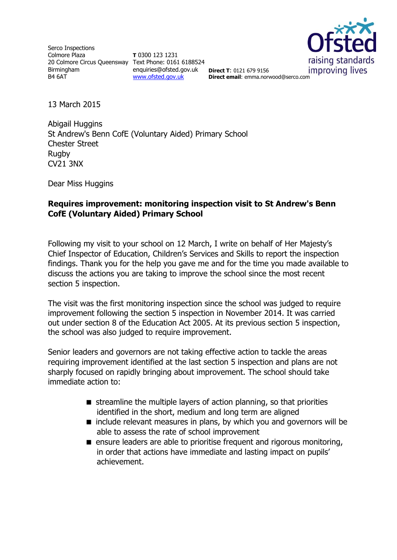Serco Inspections Colmore Plaza 20 Colmore Circus Queensway Text Phone: 0161 6188524 Birmingham B4 6AT

**T** 0300 123 1231 enquiries@ofsted.gov.uk **Direct T**: 0121 679 9156 [www.ofsted.gov.uk](http://www.ofsted.gov.uk/)



**Direct email**: emma.norwood@serco.com

13 March 2015

Abigail Huggins St Andrew's Benn CofE (Voluntary Aided) Primary School Chester Street Rugby CV21 3NX

Dear Miss Huggins

### **Requires improvement: monitoring inspection visit to St Andrew's Benn CofE (Voluntary Aided) Primary School**

Following my visit to your school on 12 March, I write on behalf of Her Majesty's Chief Inspector of Education, Children's Services and Skills to report the inspection findings. Thank you for the help you gave me and for the time you made available to discuss the actions you are taking to improve the school since the most recent section 5 inspection.

The visit was the first monitoring inspection since the school was judged to require improvement following the section 5 inspection in November 2014. It was carried out under section 8 of the Education Act 2005. At its previous section 5 inspection, the school was also judged to require improvement.

Senior leaders and governors are not taking effective action to tackle the areas requiring improvement identified at the last section 5 inspection and plans are not sharply focused on rapidly bringing about improvement. The school should take immediate action to:

- $\blacksquare$  streamline the multiple layers of action planning, so that priorities identified in the short, medium and long term are aligned
- $\blacksquare$  include relevant measures in plans, by which you and governors will be able to assess the rate of school improvement
- $\blacksquare$  ensure leaders are able to prioritise frequent and rigorous monitoring, in order that actions have immediate and lasting impact on pupils' achievement.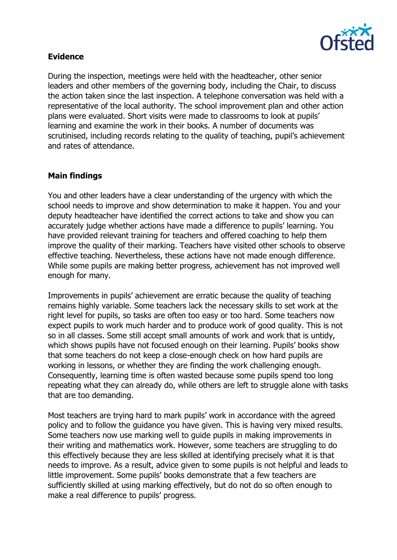

## **Evidence**

During the inspection, meetings were held with the headteacher, other senior leaders and other members of the governing body, including the Chair, to discuss the action taken since the last inspection. A telephone conversation was held with a representative of the local authority. The school improvement plan and other action plans were evaluated. Short visits were made to classrooms to look at pupils' learning and examine the work in their books. A number of documents was scrutinised, including records relating to the quality of teaching, pupil's achievement and rates of attendance.

# **Main findings**

You and other leaders have a clear understanding of the urgency with which the school needs to improve and show determination to make it happen. You and your deputy headteacher have identified the correct actions to take and show you can accurately judge whether actions have made a difference to pupils' learning. You have provided relevant training for teachers and offered coaching to help them improve the quality of their marking. Teachers have visited other schools to observe effective teaching. Nevertheless, these actions have not made enough difference. While some pupils are making better progress, achievement has not improved well enough for many.

Improvements in pupils' achievement are erratic because the quality of teaching remains highly variable. Some teachers lack the necessary skills to set work at the right level for pupils, so tasks are often too easy or too hard. Some teachers now expect pupils to work much harder and to produce work of good quality. This is not so in all classes. Some still accept small amounts of work and work that is untidy, which shows pupils have not focused enough on their learning. Pupils' books show that some teachers do not keep a close-enough check on how hard pupils are working in lessons, or whether they are finding the work challenging enough. Consequently, learning time is often wasted because some pupils spend too long repeating what they can already do, while others are left to struggle alone with tasks that are too demanding.

Most teachers are trying hard to mark pupils' work in accordance with the agreed policy and to follow the guidance you have given. This is having very mixed results. Some teachers now use marking well to guide pupils in making improvements in their writing and mathematics work. However, some teachers are struggling to do this effectively because they are less skilled at identifying precisely what it is that needs to improve. As a result, advice given to some pupils is not helpful and leads to little improvement. Some pupils' books demonstrate that a few teachers are sufficiently skilled at using marking effectively, but do not do so often enough to make a real difference to pupils' progress.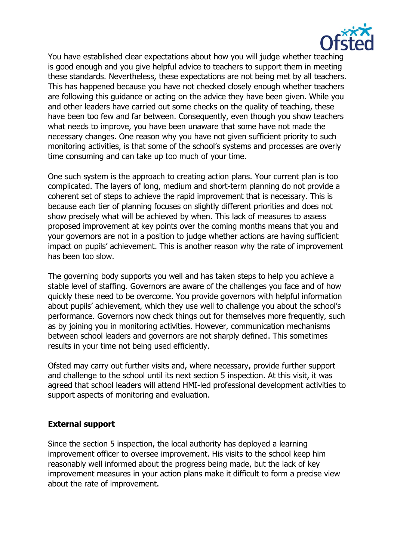

You have established clear expectations about how you will judge whether teaching is good enough and you give helpful advice to teachers to support them in meeting these standards. Nevertheless, these expectations are not being met by all teachers. This has happened because you have not checked closely enough whether teachers are following this guidance or acting on the advice they have been given. While you and other leaders have carried out some checks on the quality of teaching, these have been too few and far between. Consequently, even though you show teachers what needs to improve, you have been unaware that some have not made the necessary changes. One reason why you have not given sufficient priority to such monitoring activities, is that some of the school's systems and processes are overly time consuming and can take up too much of your time.

One such system is the approach to creating action plans. Your current plan is too complicated. The layers of long, medium and short-term planning do not provide a coherent set of steps to achieve the rapid improvement that is necessary. This is because each tier of planning focuses on slightly different priorities and does not show precisely what will be achieved by when. This lack of measures to assess proposed improvement at key points over the coming months means that you and your governors are not in a position to judge whether actions are having sufficient impact on pupils' achievement. This is another reason why the rate of improvement has been too slow.

The governing body supports you well and has taken steps to help you achieve a stable level of staffing. Governors are aware of the challenges you face and of how quickly these need to be overcome. You provide governors with helpful information about pupils' achievement, which they use well to challenge you about the school's performance. Governors now check things out for themselves more frequently, such as by joining you in monitoring activities. However, communication mechanisms between school leaders and governors are not sharply defined. This sometimes results in your time not being used efficiently.

Ofsted may carry out further visits and, where necessary, provide further support and challenge to the school until its next section 5 inspection. At this visit, it was agreed that school leaders will attend HMI-led professional development activities to support aspects of monitoring and evaluation.

### **External support**

Since the section 5 inspection, the local authority has deployed a learning improvement officer to oversee improvement. His visits to the school keep him reasonably well informed about the progress being made, but the lack of key improvement measures in your action plans make it difficult to form a precise view about the rate of improvement.